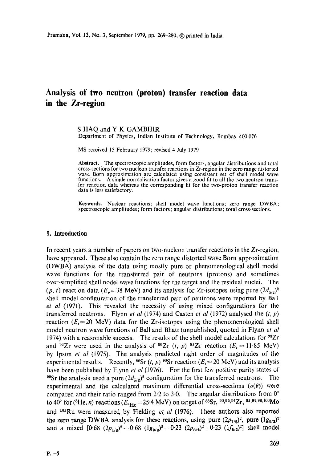# **Analysis of two neutron (proton) transfer reaction data in the Zr-region**

S HAQ and Y K GAMBHIR Department of Physics, Indian Institute of Technology, Bombay 400 076

MS received 15 February 1979; revised 4 July 1979

**Abstract.** The spectroscopic amplitudes, form factors, angular distributions and total cross-sections for two nucleon transfer reactions in Zr-region in the zero range distorted wave Born approximation are calculated using consistent set of shell model wave functions. A single normalisation factor gives a good fit to all the two neutron transfer reaction data whereas the corresponding fit for the two-proton transfer reaction data is less satisfactory.

Keywords. Nuclear reactions; shell model wave functions; zero range DWBA; spectroscopic amplitudes; form factors; angular distributions; total cross-sections.

## **1, Introduction**

In recent years a number of papers on two-nucleon transfer reactions in the Zr-region, have appeared. These also contain the zero range distorted wave Born approximation (DWBA) analysis of the data using mostly pure or phenomenological shell model wave functions for the transferred pair of neutrons (protons) and sometimes over-simplified shell nodel wave functions for the target and the residual nuclei. The  $(p, t)$  reaction data  $(E_p=38 \text{ MeV})$  and its analysis for Zr-isotopes using pure  $(2d_{5/2})^2$ shell model configuration of the transferred pair of neutrons were reported by Ball *et al* (1971). This revealed the necessity of using mixed configurations for the transferred neutrons. Flynn *et al* (1974) and Casten *et al* (1972) analysed the (t, p) reaction ( $E_t$ =20 MeV) data for the Zr-isotopes using the phenomenological shell model neutron wave functions of Ball and Bhatt (unpublished, quoted in Flynn *et al*  1974) with a reasonable success. The results of the shell model calculations for  $^{90}Zr$ and <sup>92</sup>Zr were used in the analysis of <sup>90</sup>Zr (t, p) <sup>92</sup>Zr reaction ( $E_t = 11.85$  MeV) by Ipson *et al* (1975). The analysis predicted right order of magnitudes of the experimental results. Recently,  ${}^{88}Sr(t, p) {}^{90}Sr$  reaction ( $E_t = 20 \text{ MeV}$ ) and its analysis have been published by Flynn *et al* (1976). For the first few positive parity states of <sup>90</sup>Sr the analysis used a pure  $(2d_{5/2})^2$  configuration for the transferred neutrons. The experimental and the calculated maximum differential cross-sections  $(\sigma(\theta))$  were compared and their ratio ranged from 2.2 to 3.0. The angular distributions from  $0^{\circ}$ to 40° for (<sup>3</sup>He, *n*) reactions ( $E_{\rm ^3He}$  = 25.4 MeV) on target of <sup>88</sup>Sr, <sup>90</sup>,<sup>92,94</sup>Zr, <sup>92,94,96,100</sup>Mo and  $10^{2}$ Ru were measured by Fielding *et al* (1976). These authors also reported the zero range DWBA analysis for these reactions, using pure  $(2p_{1/2})^2$ , pure  $(1g_{9/2})^2$ and a mixed  $[0.68 (2p_{1/2})^2 + 0.68 (1g_{9/2})^2 + 0.23 (2p_{3/2})^2 + 0.23 (1f_{5/2})^2]$  shell model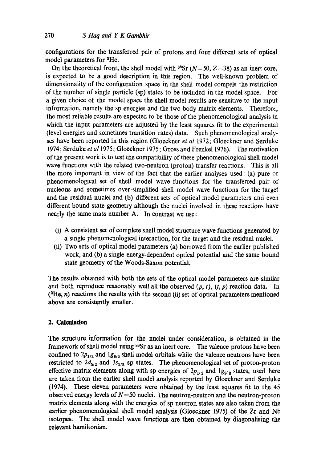configurations for the transferred pair of protons and four different sets of optical model parameters for 3He.

On the theoretical front, the shell model with  $8Sr (N=50, Z=38)$  as an inert core, is expected to be a good description in this region. The well-known problem of dimensionality of the configuration space in the shell model compels the restriction of the number of single particle (sp) states to be included in the model space. For a given choice of the model space the shell model results are sensitive to the input information, namely the sp energies and the two-body matrix elements. Therefort, the most reliable results are expected to be those of the phenomenological analysis in which the input parameters are adjusted by the least squares fit to the experimental (level energies and sometimes transition rates) data. Such phenomenological analyses have been reported in this region (Gloeckner *et a!* 1972; Gloeckner and Serduke 1974; Serduke *et a11975;* Gloeckner 1975; Gross and Frenkel 1976). The motivation of the present work is to test the compatibility of these phenomenological shell model wave functions with the related two-neutron (proton) transfer reactions. This is all the more important in view of the fact that the earlier analyses used: (a) pure or phenomenological set of shell model wave functions for the transferred pair of nucleons and sometimes over-simplified shell model wave functions for the target and the residual nuclei and (b) different sets of optical model parameters and even different bound state geometry although the nuclei involved in these reactions have nearly the same mass number A. In contrast we use:

- (i) A consistent set of complete shell model structure wave functions generated by a single phenomenological interaction, for the target and the residual nuclei.
- (ii) Two sets of optical model parameters (a) borrowed from the earlier published work, and (b) a single energy-dependent optical potential and the same bound state geometry of the Woods-Saxon potential.

The results obtained with both the sets of the optical model parameters are similar and both reproduce reasonably well all the observed  $(p, t)$ ,  $(t, p)$  reaction data. In  $({}^{3}He, n)$  reactions the results with the second (ii) set of optical parameters mentioned above are consistently smaller.

# **2. Calmlation**

The structure information for the nuclei under consideration, is obtained in the framework of shell model using 88Sr as an inert core. The valence protons have been confined to  $2p_{1/2}$  and  $1g_{9/2}$  shell model orbitals while the valence neutrons have been restricted to  $2d_{5/2}$  and  $3s_{1/2}$  sp states. The phenomenological set of proton-proton effective matrix elements along with sp energies of  $2p_{1/2}$  and  $1g_{9/2}$  states, used here are taken from the earlier shell model analysis reported by Gloeckner and Serduke (1974). These eleven parameters were obtained by the least squares fit to the 45 observed energy levels of  $N=50$  nuclei. The neutron-neutron and the neutron-proton matrix elements along with the energies of sp neutron states are also taken from the earlier phenomenological shell model analysis (Gloeckner 1975) of the Zr and Nb isotopes. The shell model wave functions are then obtained by diagonalising the relevant hamiltonian.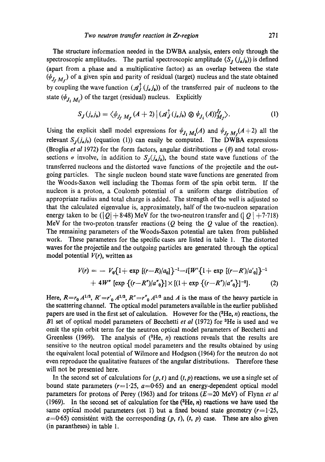The structure information needed in the DWBA analysis, enters only through the spectroscopic amplitudes. The partial spectroscopic amplitude  $(S_t (j_a j_b))$  is defined (apart from a phase and a multiplicative factor) as an overlap between the state  $(\psi_{J_f, M_f})$  of a given spin and parity of residual (target) nucleus and the state obtained by coupling the wave function  $(\mathcal{A}_J^{\dagger} (j_a j_b))$  of the transferred pair of nucleons to the state  $(\psi_{J_i M_i})$  of the target (residual) nucleus. Explicitly

$$
S_J(j_a j_b) = \langle \psi_{J_f M_f} (A+2) | (\mathcal{A}_J^\dagger(j_a j_b) \otimes \psi_{J_i} (A))_{M_f}^{J_f} \rangle. \tag{1}
$$

Using the explicit shell model expressions for  $\psi_{J_i M_i}(A)$  and  $\psi_{J_f M_f}(A+2)$  all the relevant  $S_J(j_a j_b)$  (equation (1)) can easily be computed. The DWBA expressions (Broglia *et al* 1972) for the form factors, angular distributions  $\sigma$  ( $\theta$ ) and total crosssections  $\sigma$  involve, in addition to  $S_i(j_a j_b)$ , the bound state wave functions of the transferred nucleons and the distorted wave functions of the projectile and the outgoing particles. The single nucleon bound state wave functions are generated from the Woods-Saxon well including the Thomas form of the spin orbit term. If the nucleon is a proton, a Coulomb potential of a uniform charge distribution of appropriate radius and total charge is added. The strength of the well is adjusted so that the calculated eigenvalue is, approximately, half of the two-nucleon separation energy taken to be ( $|Q| + 8.48$ ) MeV for the two-neutron transfer and ( $|Q| + 7.718$ ) MeV for the two-proton transfer reactions  $(Q$  being the  $Q$  value of the reaction). The remaining parameters of the Woods-Saxon potential are taken from published work. These parameters for the specific cases are listed in table 1. The distorted waves for the projectile and the outgoing particles are generated through the optical model potential *V(r),* written as

$$
V(r) = - V_0 \{1 + \exp[(r - R)/a_0]\}^{-1} - i[W'\{1 + \exp[(r - R')/a'_0]\}^{-1}
$$
  
+ 4W'' [exp {(r - R'')/a''\_0}] \times [(1 + \exp {(r - R'')/a''\_0}]^{-2}]. (2)

Here,  $R=r_0 A^{1/3}$ ,  $R'=r'_0 A^{1/3}$ ,  $R''=r''_0 A^{1/3}$  and A is the mass of the heavy particle in the scattering channel. The optical model parameters available in the earlier published papers are used in the first set of calculation. However for the  $(3He, n)$  reactions, the B1 set of optical model parameters of Becchetti *et al* (1972) for <sup>3</sup>He is used and we omit the spin orbit term for the neutron optical model parameters of Becchetti and Greenless (1969). The analysis of  $({}^{3}He, n)$  reactions reveals that the results are sensitive to the neutron optical model parameters and the results obtained by using the equivalent local potential of Wilmore and Hodgson (1964) for the neutron do not even reproduce the qualitative features of the angular distributions. Therefore these will not be presented here.

In the second set of calculations for  $(p, t)$  and  $(t, p)$  reactions, we use a single set of bound state parameters  $(r=1.25, a=0.65)$  and an energy-dependent optical model parameters for protons of Perey (1963) and for tritons  $(E=20 \text{ MeV})$  of Flynn *et al* (1969). In the second set of calculation for the  $({}^{3}He, n)$  reactions we have used the same optical model parameters (set 1) but a fixed bound state geometry  $(r=1.25$ ,  $a=0.65$ ) consistent with the corresponding  $(p, t)$ ,  $(t, p)$  case. These are also given (in parantheses) in table 1.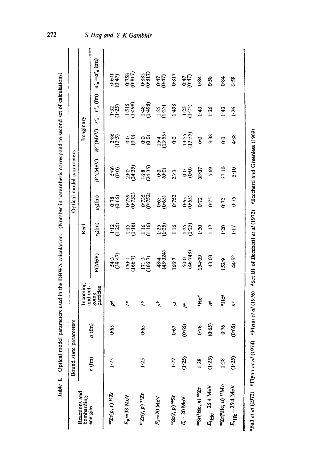| ֠                                             |
|-----------------------------------------------|
|                                               |
|                                               |
|                                               |
|                                               |
|                                               |
|                                               |
|                                               |
|                                               |
|                                               |
|                                               |
|                                               |
|                                               |
|                                               |
|                                               |
| ֚֘֝                                           |
|                                               |
| ֖֖֪ׅ֪ׅ֪ׅ֪֪֪ׅ֪֪֪ׅ֪֪֪ׅ֪֪֪֪֪֪ׅ֚֚֚֚֚֚֬֝֝֬֝֬֝֓֓֓֓֬ |
| ֠<br>֚֚                                       |
|                                               |
|                                               |
|                                               |
|                                               |
|                                               |
|                                               |
|                                               |
|                                               |
|                                               |
|                                               |
|                                               |
|                                               |
|                                               |
|                                               |
| I                                             |
|                                               |
|                                               |
|                                               |
| l                                             |
|                                               |
| J                                             |

|                                                         | Bound state parameters |               |                           |                                               |                       |                                               | Optical model parameters           |                     |                                                           |                                                 |
|---------------------------------------------------------|------------------------|---------------|---------------------------|-----------------------------------------------|-----------------------|-----------------------------------------------|------------------------------------|---------------------|-----------------------------------------------------------|-------------------------------------------------|
| Reactions and<br>bombarding                             |                        |               | Incoming<br>and out-      |                                               | Real                  |                                               |                                    | Imaginary           |                                                           |                                                 |
| energies                                                | $r$ (fm)               | $\widehat{f}$ | going<br>particles        | V(MeV)                                        | $r_0(\text{fm})$      | $a_0$ (fm)                                    | W'(MeV)                            |                     | $W''(MeV)$ $r'_{0} = r''_{0}$ (fm) $a'_{0} = a'_{0}$ (fm) |                                                 |
| $^{92}Zr(p, t)$ $^{90}Zr$                               | $1 - 25$               | 0.65          | pa.                       | $54.3$<br>(39.47)                             | $1:25$<br>(1.25)      | $\begin{array}{c} 0.000 \\ 0.000 \end{array}$ | 6.66                               | $3.86$<br>(13.5)    | $1:32$<br>$(1:25)$                                        | 0.47                                            |
| $E_p = 38$ MeV                                          |                        |               | $\overline{\phantom{a}}$  | $\frac{170.1}{156.7}$                         | $\frac{1:15}{(1:16)}$ | (0.739)                                       | $19.0$<br>(24.35)                  | န်စွဲ               | $(1.515)$<br>(1.498)                                      | $\begin{array}{c} 0.758 \\ (0.817) \end{array}$ |
| $^{90}Zr(t, p)$ <sup>92</sup> Zr                        | 1.25                   | 0.65          | ç,                        | $\frac{171 \cdot 3}{(166 \cdot 7)}$           | $\frac{1.16}{1.16}$   | $0.735$<br>$(0.752)$                          | $\frac{16 \cdot 8}{(24 \cdot 35)}$ | <u>၁၉</u>           | $\frac{1.48}{(1.498)}$                                    | $0.885$<br>(0.817)                              |
| $E_t$ = 20 MeV                                          |                        |               | å                         | 48.4<br>(45.324)                              | $1:35$<br>$(1:25)$    | $0.65$<br>$(0.65)$                            | ခဲ့ခဲ့                             | $\frac{154}{13:55}$ | $1:25$<br>$(1:25)$                                        | <b>647)</b><br>447)                             |
| <b>asSr(t, p)</b> assr                                  | 1:27                   | 0.67          | 5                         | 166.7                                         | 1.16                  | 0.752                                         | $23-3$                             | $\mathbf{0}$        | 1.498                                                     | 0.817                                           |
| $E_t = 20$ MeV                                          | (1.25)                 | (0.65)        | pc                        | 50-0<br>(46-748)                              | $125$<br>$(125)$      | $0.65$<br>$(0.65)$                            | $\frac{6}{6}$                      | $13-55$<br>(13:55)  | $125$<br>$(125)$                                          | 047)<br>(047)                                   |
| 885r(8He, n) 90Zr                                       | 1.28                   | 0.76          | <sup>3</sup> Hed          | 154.09                                        | $1 - 20$              | 0.72                                          | 18.07                              | $\overline{6}$      | 1.43                                                      | 0.84                                            |
| $E_{^3\text{He}}$ =25.4 MeV                             | (1.25)                 | (0.65)        | ų                         | 43.03                                         | 1.17                  | 0.75                                          | 5.69                               | 3.38                | 1.26                                                      | 0.58                                            |
| 99Zr(He; n) 92Mo                                        | 1.28                   | 076           | ${}^3He^d$                | 52.9                                          | 1.20                  | $0 - 72$                                      | 37.10                              | $\frac{6}{3}$       | 1.43                                                      | 0.84                                            |
| $E_{\rm H}e^{\rm i}=25.4$ MeV                           | (1.25)                 | (0.65)        | ne                        | 44.52                                         | 1.17                  | 0.75                                          | 5:10                               | 4.38                | 1.26                                                      | 0.58                                            |
| <b>"Ball et al (1972)</b> $p$ $\text{Figure 11 (1974)}$ |                        |               | <b>Elynn</b> et al (1976) | <sup>4</sup> Set B1 of Becchetti et al (1972) |                       |                                               | eBecchetti and Greenless (1969)    |                     |                                                           |                                                 |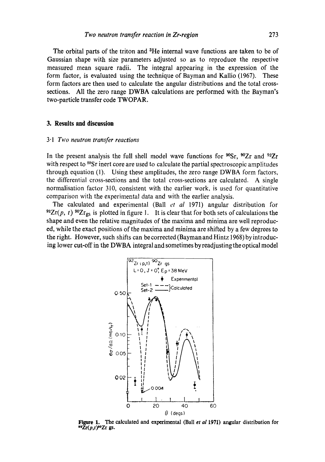The orbital parts of the triton and <sup>3</sup>He internal wave functions are taken to be of Gaussian shape with size parameters adjusted so as to reproduce the respective measured mean square radii. The integral appearing in the expression of the form factor, is evaluated using the technique of Bayman and Kallio (1967). These form factors are then used to calculate the angular distributions and the total crosssections. All the zero range DWBA calculations are performed with the Bayman's two-particle transfer code TWOPAR.

## **3. Results and discussion**

#### *3"1 Two neutron transfer reactions*

In the present analysis the full shell model wave functions for  $^{90}Sr$ ,  $^{90}Zr$  and  $^{92}Zr$ with respect to  ${}^{88}Sr$  inert core are used to calculate the partial spectroscopic amplitudes through equation (1). Using these amplitudes, the zero range DWBA form factors, the differential cross-sections and the total cross-sections are calculated. A single normalisation factor 310, consistent with the earlier work, is used for quantitative comparison with the experimental data and with the earlier analysis.

The calculated and experimental (Ball *et al* 1971) angular distribution for  $^{92}Zr(p, t)$   $^{90}Zr_{gs}$  is plotted in figure 1. It is clear that for both sets of calculations the shape and even the relative magnitudes of the maxima and minima are well reproduced, while the exact positions of the maxima and minima are shifted by a few degrees to the right. However, such shifts can be corrected (Bayman and Hintz 1968) by introducing lower cut-off in the DWBA integral and sometimes by readjusting the optical model



Figure 1. The calculated and experimental (Ball *et a11971)* angular distribution for  $\sum_{r=0}^{n} \sum_{r=0}^{n} \sum_{r=0}^{n}$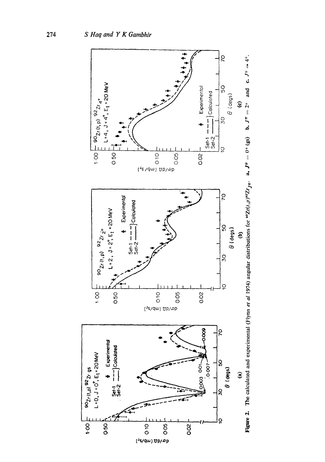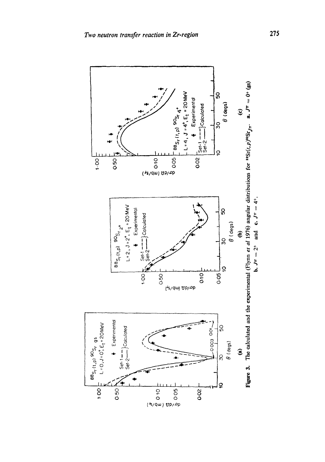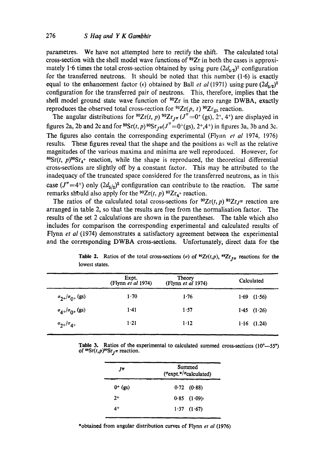parametres. We have not attempted here to rectify the shift. The calculated total cross-section with the shell model wave functions of  $^{92}Zr$  in both the cases is approximately 1.6 times the total cross-section obtained by using pure  $(2d_{5/2})^2$  configuration for the transferred neutrons. It should be noted that this number  $(1.6)$  is exactly equal to the enhancement factor ( $\epsilon$ ) obtained by Ball *et al* (1971) using pure  $(2d_{5/2})^2$ configuration for the transferred pair of neutrons. This, therefore, implies that the shell model ground state wave function of  $^{92}Zr$  in the zero range DWBA, exactly reproduces the observed total cross-section for  $^{92}Zr(p, t)$   $^{90}Zr_{gs}$  reaction.

The angular distributions for <sup>90</sup>Zr(t, p) <sup>92</sup>Zr<sub>J</sub> $\pi$  (J<sup> $\pi$ </sup> =0<sup>+</sup> (gs), 2<sup>+</sup>, 4<sup>+</sup>) are displayed in figures 2a, 2b and 2c and for  ${}^{88}Sr(t, p) {}^{90}Sr_{I\pi}(J^{\pi}=0^{+}(gs), 2^{+},4^{+})$  in figures 3a, 3b and 3c. The figures also contain the corresponding experimental (Flynn *et al* 1974, 1976) results. These figures reveal that the shape and the positions as well as the relative magnitudes of the various maxima and minima are well reproduced. However, for  $88Sr(t, p)$ <sup>90</sup>Sr<sub>4</sub>+ reaction, while the shape is reproduced, the theoretical differential cross-sections are slightly off by a constant factor. This may be attributed to the inadequacy of the truncated space considered for the transferred neutrons, as in this case  $(J^{\pi} = 4^+)$  only  $(2d_{5/2})^2$  configuration can contribute to the reaction. The same remarks should also apply for the  $^{90}Zr(t, p)$   $^{92}Zr_4$ + reaction.

The ratios of the calculated total cross-sections for  ${}^{90}Zr(t,p)$   ${}^{92}Zr<sub>J</sub>\pi$  reaction are arranged in table 2, so that the results are free from the normalisation factor. The results of the set 2 calculations are shown in the parentheses. The table which also includes for comparison the corresponding experimental and calculated results of Flynn *et al* (1974) demonstrates a satisfactory agreement between the experimental and the corresponding DWBA cross-sections. Unfortunately, direct data for the

|                                | Expt.<br>(Flynn et al 1974) | Theory<br>(Flynn et al 1974) | Calculated      |
|--------------------------------|-----------------------------|------------------------------|-----------------|
| $\sigma_{2+}/\sigma_{0+}$ (gs) | 1.70                        | 1.76                         | $1.69$ $(1.56)$ |
| $\sigma_{4+}/\sigma_{0+}$ (gs) | 1.41                        | 1.57                         | 1.45 $(1.26)$   |
| $\sigma_{2+}/\sigma_{4+}$      | $1-21$                      | 1.12                         | $1.16$ $(1.24)$ |

**Table 2.** Ratios of the total cross-sections ( $\sigma$ ) of <sup>90</sup>Zr(t,p), <sup>92</sup>Zr<sub>IT</sub> reactions for the lowest **states.** 

**Table 3.** Ratios of the experimental to calculated summed cross-sections (10°---55°) of  ${}^{88}Sr(t,p){}^{90}Sr_{I}\pi$  reaction.

| Jπ           | Summed<br>$({\sigma}$ expt.*/ ${\sigma}$ calculated) |  |
|--------------|------------------------------------------------------|--|
| $0^{+}$ (gs) | $0.72$ (0.88)                                        |  |
| $2+$         | $0.85$ $(1.09)$                                      |  |
| 4+           | $1.37$ $(1.67)$                                      |  |

\*obtained from angular distribution curves of Flynn *et al* (1976)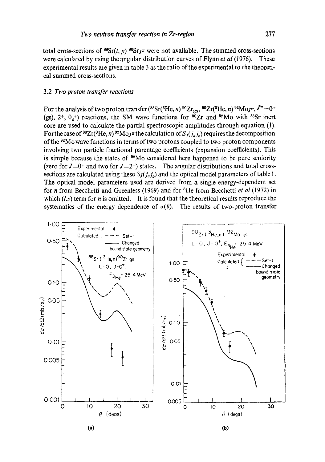total cross-sections of  ${}^{88}Sr(t, p) {}^{90}Sr_J^{\pi}$  were not available. The summed cross-sections were calculated by using the angular distribution curves of Flynn *et al* (1976). These experimental results are given in table 3 as the ratio of the experimental to the theoretical summed cross-sections.

## 3.2 *Two proton transfer reactions*

For the analysis of two proton transfer ( ${}^{88}Sr({}^{3}He, n)$   ${}^{90}Zr_{gs}$ ,  ${}^{90}Zr({}^{3}He, n)$   ${}^{92}Mo_J\pi$ ,  $J^{\pi}=0^+$ (gs),  $2^+$ ,  $0_2^+$ ) reactions, the SM wave functions for  $\frac{\overline{90}}{2}$ r and  $\frac{92}{10}$  with  $\frac{88}{5}$ r inert core are used to calculate the partial spectroscopic amplitudes through equation (1). For the case of <sup>90</sup>Zr(<sup>3</sup>He, *n*) <sup>92</sup>Mo<sub>J</sub><sup> $pi$ </sup> the calculation of  $S<sub>J</sub>(j<sub>u</sub>j<sub>b</sub>)$  requires the decomposition of the <sup>92</sup>Mo wave functions in terms of two protons coupled to two proton components involving two particle fractional parentage coefficients (expansion coefficients). This is simple because the states of  $92M$ o considered here happened to be pure seniority (zero for  $J=0^+$  and two for  $J=2^+$ ) states. The angular distributions and total crosssections are calculated using these  $S_J(j_a j_b)$  and the optical model parameters of table 1. The optical model parameters used are derived from a single energy-dependent set for n from Becchetti and Greenless (1969) and for 3He from Becchetti *et al* (1972) in which (*l,s*) term for *n* is omitted. It is found that the theoretical results reproduce the systematics of the energy dependence of  $\sigma(\theta)$ . The results of two-proton transfer



**(a) £o)**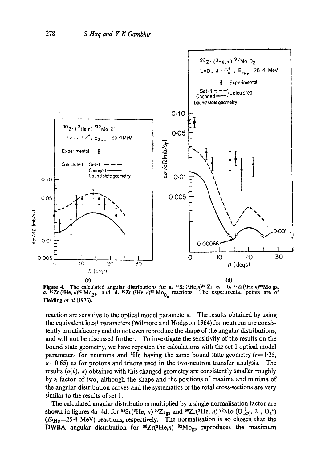

**Figure 4.**  c.  $^{80}Zr$  (<sup>3</sup>He, *n*)<sup>92</sup> Mo<sub>2+</sub> Fielding *et al* (1976). The calculated angular distributions for **a.**  $^{88}Sr$  ( $^{9}He, n)$ <sup>80</sup> Zr gs. b.  $^{80}Zr$  ( $^{8}He, n)$ <sup>82</sup>Mo gs. and **d.**  $^{40}Zr$  ( $^{8}He$ ,  $n$ )<sup> $^{92}Mo_{0+}$  reactions. The experimental points are of</sup>

reaction are sensitive to the optical model parameters. The results obtained by using the equivalent local parameters (Wilmore and Hodgson 1964) for neutrons are consistently unsatisfactory and do not even reproduce the shape of the angular distributions, and will not be discussed further. To investigate the sensitivity of the results on the bound state geometry, we have repeated the calculations with the set 1 optical model parameters for neutrons and <sup>3</sup>He having the same bound state geometry  $(r=1.25,$  $a=0.65$ ) as for protons and tritons used in the two-neutron transfer analysis. The results ( $\sigma(\theta)$ ,  $\sigma$ ) obtained with this changed geometry are consistently smaller roughly by a factor of two, although the shape and the positions of maxima and minima of the angular distribution curves and the systematics of the total cross-sections are very similar to the results of set 1.

The calculated angular distributions multiplied by a single normalisation factor are shown in figures 4a-4d, for <sup>88</sup>Sr(<sup>3</sup>He, *n*) <sup>90</sup>Zr<sub>gs</sub> and <sup>90</sup>Zr(<sup>3</sup>He, *n*) <sup>92</sup>Mo ( $O_{(gs)}^+$ ,  $O_2^+$ )  $O_{(gs)}^+$  $(E_{\text{He}}=25.4 \text{ MeV})$  reactions, respectively. The normalisation is so chosen that the DWBA angular distribution for  $^{90}Zr(^{3}He,n)$   $^{92}Mo_{gs}$  reproduces the maximum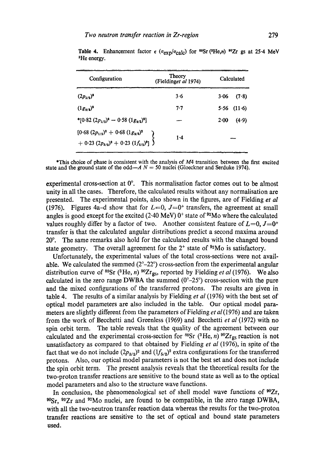| Configuration                                                                          | Theory<br>(Fieldinget al 1974) | Calculated |                 |
|----------------------------------------------------------------------------------------|--------------------------------|------------|-----------------|
| $(2p_{1/2})^2$                                                                         | 3·6                            | $3 - 06$   | (7.8)           |
| $(1g_{9/2})^2$                                                                         | 7.7                            |            | $5.56$ $(11.6)$ |
| * $[0.82 (2p_{1/2})^2 - 0.58 (1g_{9/2})^2]$                                            |                                | 2.00       | (4.9)           |
| $[0.68 (2p_{1/2})^2 + 0.68 (1g_{9/2})^2$<br>+ 0.23 $(2p_{3/2})^2 + 0.23 (1f_{5/2})^2]$ | 1.4                            |            |                 |

Table 4. Enhancement factor  $\epsilon$  ( $\sigma_{\text{exp}}/\sigma_{\text{calc}}$ ) for <sup>88</sup>Sr (<sup>3</sup>He,n) <sup>90</sup>Zr gs at 25.4 MeV <sup>3</sup>He energy.

\*This choice of phase is consistent with the analysis of M4 transition between the first excited state and the ground state of the odd— $A N = 50$  nuclei (Gloeckner and Serduke 1974).

experimental cross-section at  $0^\circ$ . This normalisation factor comes out to be almost unity in all the cases. Therefore, the calculated results without any normalisation are presented. The experimental points, also shown in the figures, are of Fielding *et al*  (1976). Figures 4a-d show that for  $L=0$ ,  $J=0^+$  transfers, the agreement at small angles is good except for the excited (2.40 MeV)  $0^+$  state of  $92$ Mo where the calculated values roughly differ by a factor of two. Another consistent feature of  $L=0, J=0^+$ transfer is that the calculated angular distributions predict a second maxima around 20<sup>o</sup>. The same remarks also hold for the calculated results with the changed bound state geometry. The overall agreement for the  $2^+$  state of  $92$ Mo is satisfactory.

Unfortunately, the experimental values of the total cross-sections were not available. We calculated the summed  $(2^{\circ}-2^{\circ})$  cross-section from the experimental angular distribution curve of  $^{88}Sr$  (<sup>3</sup>He, *n*)  $^{90}Zr_{gs}$ , reported by Fielding *et al* (1976). We also calculated in the zero range DWBA the summed  $(0^{\circ}-25^{\circ})$  cross-section with the pure and the mixed configurations of the transferred protons. The results are given in table 4. The results of a similar analysis by Fielding *et al* (1976) with the best set of optical model parameters are also included in the table. Our optical model parameters are slightly different from the parameters of Fielding *et al (1976)* and are taken from the work of Becchetti and Greenless (1969) and Becchetti *et al* (1972) with no spin orbit term. The table reveals that the quality of the agreement between our calculated and the experimental cross-section for <sup>88</sup>Sr (<sup>3</sup>He, *n*) <sup>90</sup>Zr<sub>gs</sub> reaction is not unsatisfactory as compared to that obtained by Fielding *et al* (1976), in spite of the fact that we do not include  $(2p_{3/2})^2$  and  $(1f_{5/2})^2$  extra configurations for the transferred protons. Also, our optical model parameters is not the best set and does not include the spin orbit term. The present analysis reveals that the theoretical results for the two-proton transfer reactions are sensitive to the bound state as well as to the optical model parameters and also to the structure wave functions.

In conclusion, the phenomenological set of shell model wave functions of  $^{90}Zr$ , 9°Sr, 92Zr and 92Mo nuclei, are found to be compatible, in the zero range DWBA, with all the two-neutron transfer reaction data whereas the results for the two-proton transfer reactions are sensitive to the set of optical and bound state parameters used.